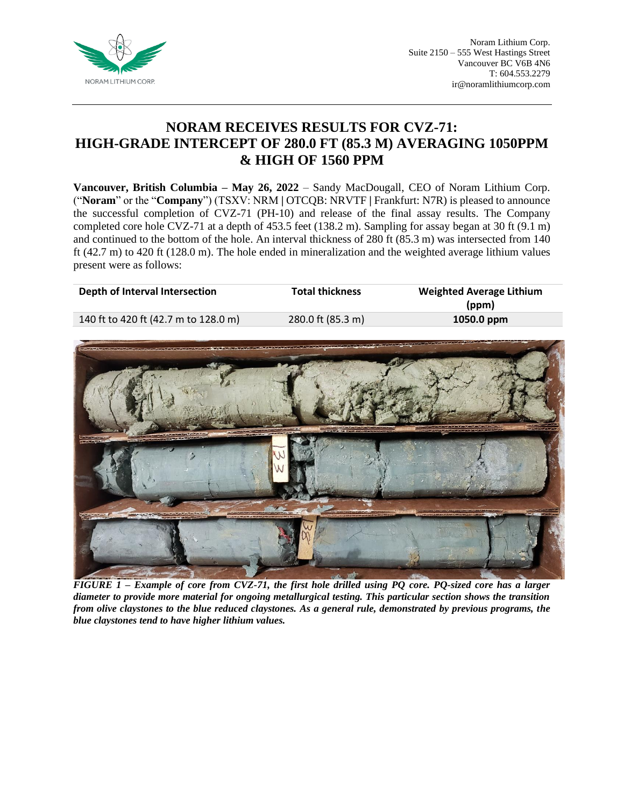

# **NORAM RECEIVES RESULTS FOR CVZ-71: HIGH-GRADE INTERCEPT OF 280.0 FT (85.3 M) AVERAGING 1050PPM & HIGH OF 1560 PPM**

**Vancouver, British Columbia – May 26, 2022** – Sandy MacDougall, CEO of Noram Lithium Corp. ("**Noram**" or the "**Company**") (TSXV: NRM **|** OTCQB: NRVTF **|** Frankfurt: N7R) is pleased to announce the successful completion of CVZ-71 (PH-10) and release of the final assay results. The Company completed core hole CVZ-71 at a depth of 453.5 feet (138.2 m). Sampling for assay began at 30 ft (9.1 m) and continued to the bottom of the hole. An interval thickness of 280 ft (85.3 m) was intersected from 140 ft (42.7 m) to 420 ft (128.0 m). The hole ended in mineralization and the weighted average lithium values present were as follows:

| Depth of Interval Intersection       | <b>Total thickness</b> | <b>Weighted Average Lithium</b><br>(ppm) |
|--------------------------------------|------------------------|------------------------------------------|
| 140 ft to 420 ft (42.7 m to 128.0 m) | 280.0 ft (85.3 m)      | 1050.0 ppm                               |
|                                      |                        |                                          |



*FIGURE 1 – Example of core from CVZ-71, the first hole drilled using PQ core. PQ-sized core has a larger diameter to provide more material for ongoing metallurgical testing. This particular section shows the transition from olive claystones to the blue reduced claystones. As a general rule, demonstrated by previous programs, the blue claystones tend to have higher lithium values.*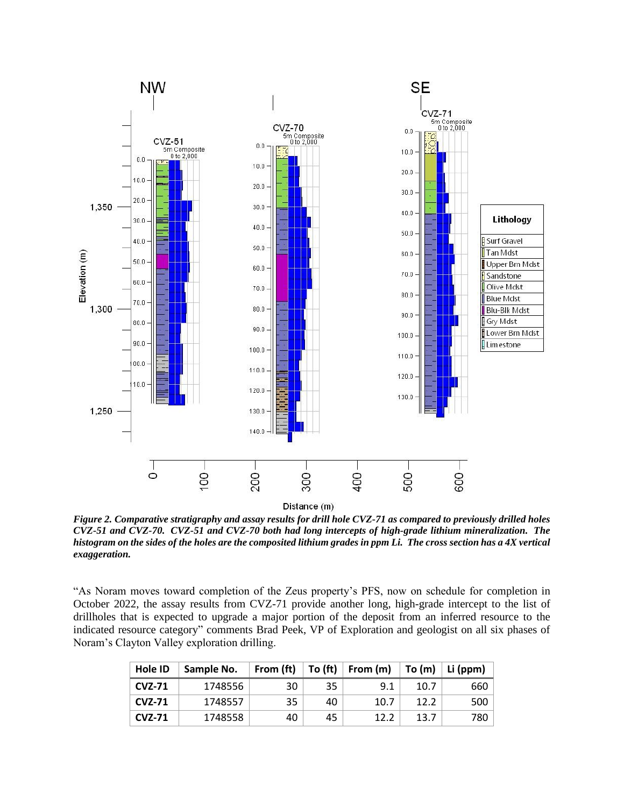

Distance (m)

*Figure 2. Comparative stratigraphy and assay results for drill hole CVZ-71 as compared to previously drilled holes CVZ-51 and CVZ-70. CVZ-51 and CVZ-70 both had long intercepts of high-grade lithium mineralization. The histogram on the sides of the holes are the composited lithium grades in ppm Li. The cross section has a 4X vertical exaggeration.*

"As Noram moves toward completion of the Zeus property's PFS, now on schedule for completion in October 2022, the assay results from CVZ-71 provide another long, high-grade intercept to the list of drillholes that is expected to upgrade a major portion of the deposit from an inferred resource to the indicated resource category" comments Brad Peek, VP of Exploration and geologist on all six phases of Noram's Clayton Valley exploration drilling.

| Hole ID       | Sample No. | From (ft) | To (ft) | From (m) | To $(m)$ | Li (ppm) |
|---------------|------------|-----------|---------|----------|----------|----------|
| <b>CVZ-71</b> | 1748556    | 30        | 35      | 9.1      | 10.7     | 660      |
| <b>CVZ-71</b> | 1748557    | 35        | 40      | 10.7     | 12.2     | 500      |
| <b>CVZ-71</b> | 1748558    | 40        | 45      | 12.2     | 13.7     | 780      |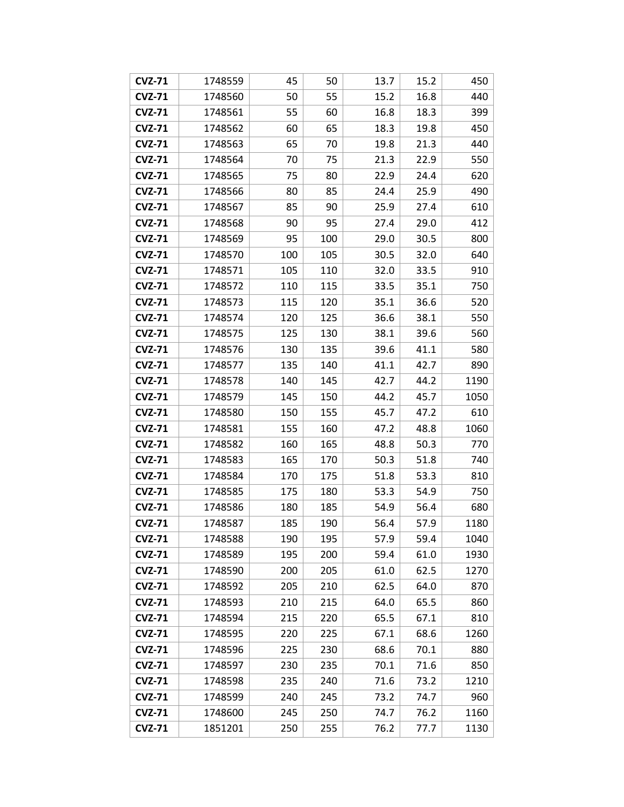| <b>CVZ-71</b> | 1748559 | 45  | 50  | 13.7 | 15.2 | 450  |
|---------------|---------|-----|-----|------|------|------|
| <b>CVZ-71</b> | 1748560 | 50  | 55  | 15.2 | 16.8 | 440  |
| <b>CVZ-71</b> | 1748561 | 55  | 60  | 16.8 | 18.3 | 399  |
| <b>CVZ-71</b> | 1748562 | 60  | 65  | 18.3 | 19.8 | 450  |
| <b>CVZ-71</b> | 1748563 | 65  | 70  | 19.8 | 21.3 | 440  |
| <b>CVZ-71</b> | 1748564 | 70  | 75  | 21.3 | 22.9 | 550  |
| <b>CVZ-71</b> | 1748565 | 75  | 80  | 22.9 | 24.4 | 620  |
| <b>CVZ-71</b> | 1748566 | 80  | 85  | 24.4 | 25.9 | 490  |
| <b>CVZ-71</b> | 1748567 | 85  | 90  | 25.9 | 27.4 | 610  |
| <b>CVZ-71</b> | 1748568 | 90  | 95  | 27.4 | 29.0 | 412  |
| <b>CVZ-71</b> | 1748569 | 95  | 100 | 29.0 | 30.5 | 800  |
| <b>CVZ-71</b> | 1748570 | 100 | 105 | 30.5 | 32.0 | 640  |
| <b>CVZ-71</b> | 1748571 | 105 | 110 | 32.0 | 33.5 | 910  |
| <b>CVZ-71</b> | 1748572 | 110 | 115 | 33.5 | 35.1 | 750  |
| <b>CVZ-71</b> | 1748573 | 115 | 120 | 35.1 | 36.6 | 520  |
| <b>CVZ-71</b> | 1748574 | 120 | 125 | 36.6 | 38.1 | 550  |
| <b>CVZ-71</b> | 1748575 | 125 | 130 | 38.1 | 39.6 | 560  |
| <b>CVZ-71</b> | 1748576 | 130 | 135 | 39.6 | 41.1 | 580  |
| <b>CVZ-71</b> | 1748577 | 135 | 140 | 41.1 | 42.7 | 890  |
| <b>CVZ-71</b> | 1748578 | 140 | 145 | 42.7 | 44.2 | 1190 |
| <b>CVZ-71</b> | 1748579 | 145 | 150 | 44.2 | 45.7 | 1050 |
| <b>CVZ-71</b> | 1748580 | 150 | 155 | 45.7 | 47.2 | 610  |
| <b>CVZ-71</b> | 1748581 | 155 | 160 | 47.2 | 48.8 | 1060 |
| <b>CVZ-71</b> | 1748582 | 160 | 165 | 48.8 | 50.3 | 770  |
| <b>CVZ-71</b> | 1748583 | 165 | 170 | 50.3 | 51.8 | 740  |
| <b>CVZ-71</b> | 1748584 | 170 | 175 | 51.8 | 53.3 | 810  |
| <b>CVZ-71</b> | 1748585 | 175 | 180 | 53.3 | 54.9 | 750  |
| <b>CVZ-71</b> | 1748586 | 180 | 185 | 54.9 | 56.4 | 680  |
| <b>CVZ-71</b> | 1748587 | 185 | 190 | 56.4 | 57.9 | 1180 |
| <b>CVZ-71</b> | 1748588 | 190 | 195 | 57.9 | 59.4 | 1040 |
| <b>CVZ-71</b> | 1748589 | 195 | 200 | 59.4 | 61.0 | 1930 |
| <b>CVZ-71</b> | 1748590 | 200 | 205 | 61.0 | 62.5 | 1270 |
| <b>CVZ-71</b> | 1748592 | 205 | 210 | 62.5 | 64.0 | 870  |
| <b>CVZ-71</b> | 1748593 | 210 | 215 | 64.0 | 65.5 | 860  |
| <b>CVZ-71</b> | 1748594 | 215 | 220 | 65.5 | 67.1 | 810  |
| <b>CVZ-71</b> | 1748595 | 220 | 225 | 67.1 | 68.6 | 1260 |
| <b>CVZ-71</b> | 1748596 | 225 | 230 | 68.6 | 70.1 | 880  |
| <b>CVZ-71</b> | 1748597 | 230 | 235 | 70.1 | 71.6 | 850  |
| <b>CVZ-71</b> | 1748598 | 235 | 240 | 71.6 | 73.2 | 1210 |
| <b>CVZ-71</b> | 1748599 | 240 | 245 | 73.2 | 74.7 | 960  |
| <b>CVZ-71</b> | 1748600 | 245 | 250 | 74.7 | 76.2 | 1160 |
| <b>CVZ-71</b> | 1851201 | 250 | 255 | 76.2 | 77.7 | 1130 |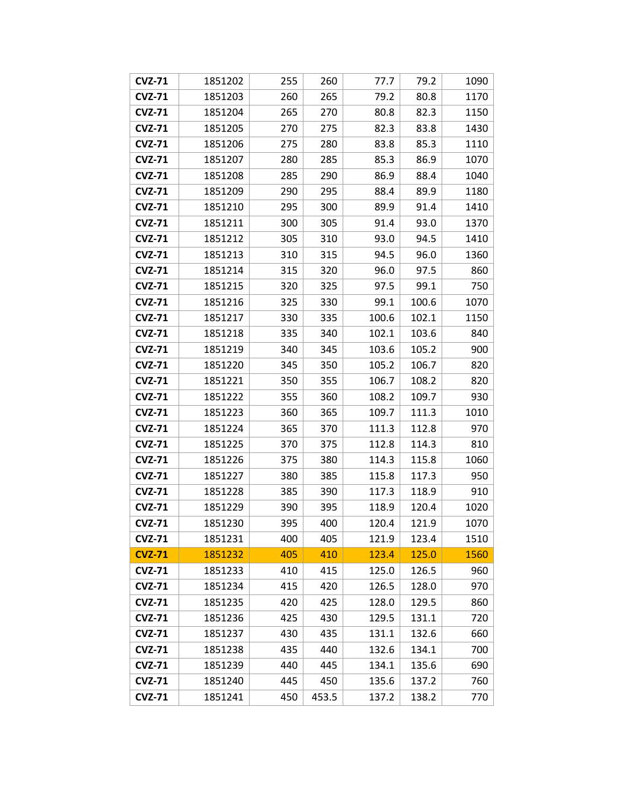| <b>CVZ-71</b> | 1851202 | 255 | 260   | 77.7  | 79.2  | 1090 |
|---------------|---------|-----|-------|-------|-------|------|
| <b>CVZ-71</b> | 1851203 | 260 | 265   | 79.2  | 80.8  | 1170 |
| <b>CVZ-71</b> | 1851204 | 265 | 270   | 80.8  | 82.3  | 1150 |
| <b>CVZ-71</b> | 1851205 | 270 | 275   | 82.3  | 83.8  | 1430 |
| <b>CVZ-71</b> | 1851206 | 275 | 280   | 83.8  | 85.3  | 1110 |
| <b>CVZ-71</b> | 1851207 | 280 | 285   | 85.3  | 86.9  | 1070 |
| <b>CVZ-71</b> | 1851208 | 285 | 290   | 86.9  | 88.4  | 1040 |
| <b>CVZ-71</b> | 1851209 | 290 | 295   | 88.4  | 89.9  | 1180 |
| <b>CVZ-71</b> | 1851210 | 295 | 300   | 89.9  | 91.4  | 1410 |
| <b>CVZ-71</b> | 1851211 | 300 | 305   | 91.4  | 93.0  | 1370 |
| <b>CVZ-71</b> | 1851212 | 305 | 310   | 93.0  | 94.5  | 1410 |
| <b>CVZ-71</b> | 1851213 | 310 | 315   | 94.5  | 96.0  | 1360 |
| <b>CVZ-71</b> | 1851214 | 315 | 320   | 96.0  | 97.5  | 860  |
| <b>CVZ-71</b> | 1851215 | 320 | 325   | 97.5  | 99.1  | 750  |
| <b>CVZ-71</b> | 1851216 | 325 | 330   | 99.1  | 100.6 | 1070 |
| <b>CVZ-71</b> | 1851217 | 330 | 335   | 100.6 | 102.1 | 1150 |
| <b>CVZ-71</b> | 1851218 | 335 | 340   | 102.1 | 103.6 | 840  |
| <b>CVZ-71</b> | 1851219 | 340 | 345   | 103.6 | 105.2 | 900  |
| <b>CVZ-71</b> | 1851220 | 345 | 350   | 105.2 | 106.7 | 820  |
| <b>CVZ-71</b> | 1851221 | 350 | 355   | 106.7 | 108.2 | 820  |
| <b>CVZ-71</b> | 1851222 | 355 | 360   | 108.2 | 109.7 | 930  |
| <b>CVZ-71</b> | 1851223 | 360 | 365   | 109.7 | 111.3 | 1010 |
| <b>CVZ-71</b> | 1851224 | 365 | 370   | 111.3 | 112.8 | 970  |
| <b>CVZ-71</b> | 1851225 | 370 | 375   | 112.8 | 114.3 | 810  |
| <b>CVZ-71</b> | 1851226 | 375 | 380   | 114.3 | 115.8 | 1060 |
| <b>CVZ-71</b> | 1851227 | 380 | 385   | 115.8 | 117.3 | 950  |
| <b>CVZ-71</b> | 1851228 | 385 | 390   | 117.3 | 118.9 | 910  |
| <b>CVZ-71</b> | 1851229 | 390 | 395   | 118.9 | 120.4 | 1020 |
| <b>CVZ-71</b> | 1851230 | 395 | 400   | 120.4 | 121.9 | 1070 |
| <b>CVZ-71</b> | 1851231 | 400 | 405   | 121.9 | 123.4 | 1510 |
| <b>CVZ-71</b> | 1851232 | 405 | 410   | 123.4 | 125.0 | 1560 |
| <b>CVZ-71</b> | 1851233 | 410 | 415   | 125.0 | 126.5 | 960  |
| <b>CVZ-71</b> | 1851234 | 415 | 420   | 126.5 | 128.0 | 970  |
| <b>CVZ-71</b> | 1851235 | 420 | 425   | 128.0 | 129.5 | 860  |
| <b>CVZ-71</b> | 1851236 | 425 | 430   | 129.5 | 131.1 | 720  |
| <b>CVZ-71</b> | 1851237 | 430 | 435   | 131.1 | 132.6 | 660  |
| <b>CVZ-71</b> | 1851238 | 435 | 440   | 132.6 | 134.1 | 700  |
| <b>CVZ-71</b> | 1851239 | 440 | 445   | 134.1 | 135.6 | 690  |
| <b>CVZ-71</b> | 1851240 | 445 | 450   | 135.6 | 137.2 | 760  |
| <b>CVZ-71</b> | 1851241 | 450 | 453.5 | 137.2 | 138.2 | 770  |